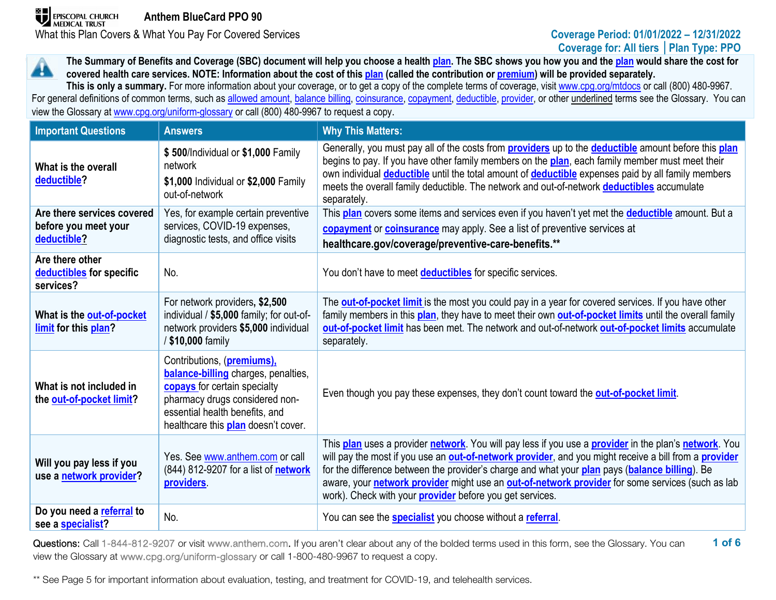# **Coverage for: All tiers │Plan Type: PPO**

**The Summary of Benefits and Coverage (SBC) document will help you choose a health [plan.](https://www.healthcare.gov/sbc-glossary/#plan) The SBC shows you how you and the [plan](https://www.healthcare.gov/sbc-glossary/#plan) would share the cost for**  44. **covered health care services. NOTE: Information about the cost of thi[s plan](https://www.healthcare.gov/sbc-glossary/#plan) (called the contribution or [premium\)](https://www.healthcare.gov/sbc-glossary/#premium) will be provided separately.**

**This is only a summary.** For more information about your coverage, or to get a copy of the complete terms of coverage, visit [www.cpg.org/mtdocs](http://www.cpg.org/mtdocs) or call (800) 480-9967. For general definitions of common terms, such as [allowed amount,](https://www.healthcare.gov/sbc-glossary/#allowed-amount) [balance billing,](https://www.healthcare.gov/sbc-glossary/#balance-billing) [coinsurance,](https://www.healthcare.gov/sbc-glossary/#coinsurance) [copayment,](https://www.healthcare.gov/sbc-glossary/#copayment) [deductible,](https://www.healthcare.gov/sbc-glossary/#deductible) [provider,](https://www.healthcare.gov/sbc-glossary/#provider) or other underlined terms see the Glossary. You can view the Glossary at www.cpg.org/uniform-glossary or call (800) 480-9967 to request a copy.

| <b>Important Questions</b>                                        | <b>Answers</b>                                                                                                                                                                                                             | <b>Why This Matters:</b>                                                                                                                                                                                                                                                                                                                                                                                                                                                                |
|-------------------------------------------------------------------|----------------------------------------------------------------------------------------------------------------------------------------------------------------------------------------------------------------------------|-----------------------------------------------------------------------------------------------------------------------------------------------------------------------------------------------------------------------------------------------------------------------------------------------------------------------------------------------------------------------------------------------------------------------------------------------------------------------------------------|
| What is the overall<br>deductible?                                | \$500/Individual or \$1,000 Family<br>network<br>\$1,000 Individual or \$2,000 Family<br>out-of-network                                                                                                                    | Generally, you must pay all of the costs from <b>providers</b> up to the <b>deductible</b> amount before this plan<br>begins to pay. If you have other family members on the plan, each family member must meet their<br>own individual <b>deductible</b> until the total amount of <b>deductible</b> expenses paid by all family members<br>meets the overall family deductible. The network and out-of-network deductibles accumulate<br>separately.                                  |
| Are there services covered<br>before you meet your<br>deductible? | Yes, for example certain preventive<br>services, COVID-19 expenses,<br>diagnostic tests, and office visits                                                                                                                 | This plan covers some items and services even if you haven't yet met the deductible amount. But a<br>copayment or coinsurance may apply. See a list of preventive services at<br>healthcare.gov/coverage/preventive-care-benefits.**                                                                                                                                                                                                                                                    |
| Are there other<br>deductibles for specific<br>services?          | No.                                                                                                                                                                                                                        | You don't have to meet <b>deductibles</b> for specific services.                                                                                                                                                                                                                                                                                                                                                                                                                        |
| What is the out-of-pocket<br>limit for this plan?                 | For network providers, \$2,500<br>individual / \$5,000 family; for out-of-<br>network providers \$5,000 individual<br>/ \$10,000 family                                                                                    | The <b>out-of-pocket limit</b> is the most you could pay in a year for covered services. If you have other<br>family members in this plan, they have to meet their own out-of-pocket limits until the overall family<br>out-of-pocket limit has been met. The network and out-of-network out-of-pocket limits accumulate<br>separately.                                                                                                                                                 |
| What is not included in<br>the out-of-pocket limit?               | Contributions, (premiums),<br><b>balance-billing</b> charges, penalties,<br>copays for certain specialty<br>pharmacy drugs considered non-<br>essential health benefits, and<br>healthcare this <b>plan</b> doesn't cover. | Even though you pay these expenses, they don't count toward the <b>out-of-pocket limit</b> .                                                                                                                                                                                                                                                                                                                                                                                            |
| Will you pay less if you<br>use a network provider?               | Yes. See www.anthem.com or call<br>(844) 812-9207 for a list of <b>network</b><br>providers.                                                                                                                               | This plan uses a provider network. You will pay less if you use a provider in the plan's network. You<br>will pay the most if you use an out-of-network provider, and you might receive a bill from a provider<br>for the difference between the provider's charge and what your plan pays (balance billing). Be<br>aware, your network provider might use an out-of-network provider for some services (such as lab<br>work). Check with your <b>provider</b> before you get services. |
| Do you need a referral to<br>see a specialist?                    | No.                                                                                                                                                                                                                        | You can see the <b>specialist</b> you choose without a referral.                                                                                                                                                                                                                                                                                                                                                                                                                        |

**1 of 6** Questions: Call 1-844-812-9207 or visit www.anthem.com. If you aren't clear about any of the bolded terms used in this form, see the Glossary. You can view the Glossary at www.cpg.org/uniform-glossary or call 1-800-480-9967 to request a copy.

\*\* See Page 5 for important information about evaluation, testing, and treatment for COVID-19, and telehealth services.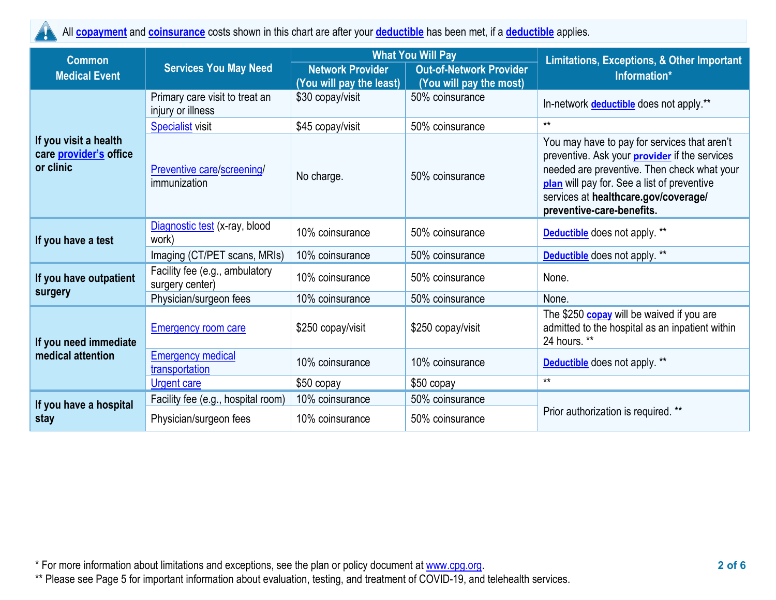All **[copayment](https://www.healthcare.gov/sbc-glossary/#copayment)** and **[coinsurance](https://www.healthcare.gov/sbc-glossary/#coinsurance)** costs shown in this chart are after your **[deductible](https://www.healthcare.gov/sbc-glossary/#deductible)** has been met, if a **[deductible](https://www.healthcare.gov/sbc-glossary/#deductible)** applies. W

| <b>Common</b>                                                |                                                     |                                              | <b>What You Will Pay</b>                   | <b>Limitations, Exceptions, &amp; Other Important</b>                                                                                                                                                                                                                   |  |
|--------------------------------------------------------------|-----------------------------------------------------|----------------------------------------------|--------------------------------------------|-------------------------------------------------------------------------------------------------------------------------------------------------------------------------------------------------------------------------------------------------------------------------|--|
| <b>Medical Event</b>                                         | <b>Services You May Need</b>                        | <b>Network Provider</b>                      | <b>Out-of-Network Provider</b>             | Information*                                                                                                                                                                                                                                                            |  |
|                                                              | Primary care visit to treat an<br>injury or illness | (You will pay the least)<br>\$30 copay/visit | (You will pay the most)<br>50% coinsurance | In-network <b>deductible</b> does not apply.**                                                                                                                                                                                                                          |  |
|                                                              | <b>Specialist</b> visit                             | \$45 copay/visit                             | 50% coinsurance                            | $**$                                                                                                                                                                                                                                                                    |  |
| If you visit a health<br>care provider's office<br>or clinic | Preventive care/screening/<br>immunization          | No charge.                                   | 50% coinsurance                            | You may have to pay for services that aren't<br>preventive. Ask your <b>provider</b> if the services<br>needed are preventive. Then check what your<br>plan will pay for. See a list of preventive<br>services at healthcare.gov/coverage/<br>preventive-care-benefits. |  |
| If you have a test                                           | Diagnostic test (x-ray, blood<br>work)              | 10% coinsurance                              | 50% coinsurance                            | <b>Deductible</b> does not apply. **                                                                                                                                                                                                                                    |  |
|                                                              | Imaging (CT/PET scans, MRIs)                        | 10% coinsurance                              | 50% coinsurance                            | <b>Deductible</b> does not apply. **                                                                                                                                                                                                                                    |  |
| If you have outpatient                                       | Facility fee (e.g., ambulatory<br>surgery center)   | 10% coinsurance                              | 50% coinsurance                            | None.                                                                                                                                                                                                                                                                   |  |
| surgery                                                      | Physician/surgeon fees                              | 10% coinsurance                              | 50% coinsurance                            | None.                                                                                                                                                                                                                                                                   |  |
| If you need immediate                                        | <b>Emergency room care</b>                          | \$250 copay/visit                            | \$250 copay/visit                          | The \$250 <b>copay</b> will be waived if you are<br>admitted to the hospital as an inpatient within<br>24 hours. **                                                                                                                                                     |  |
| medical attention                                            | <b>Emergency medical</b><br>transportation          | 10% coinsurance                              | 10% coinsurance                            | <b>Deductible</b> does not apply. **                                                                                                                                                                                                                                    |  |
|                                                              | <b>Urgent care</b>                                  | \$50 copay                                   | \$50 copay                                 | $**$                                                                                                                                                                                                                                                                    |  |
| If you have a hospital<br>stay                               | Facility fee (e.g., hospital room)                  | 10% coinsurance                              | 50% coinsurance                            |                                                                                                                                                                                                                                                                         |  |
|                                                              | Physician/surgeon fees                              | 10% coinsurance                              | 50% coinsurance                            | Prior authorization is required. **                                                                                                                                                                                                                                     |  |

\* For more information about limitations and exceptions, see the plan or policy document at [www.cpg.org.](http://www.cpg.org/) **2 of 6**

\*\* Please see Page 5 for important information about evaluation, testing, and treatment of COVID-19, and telehealth services.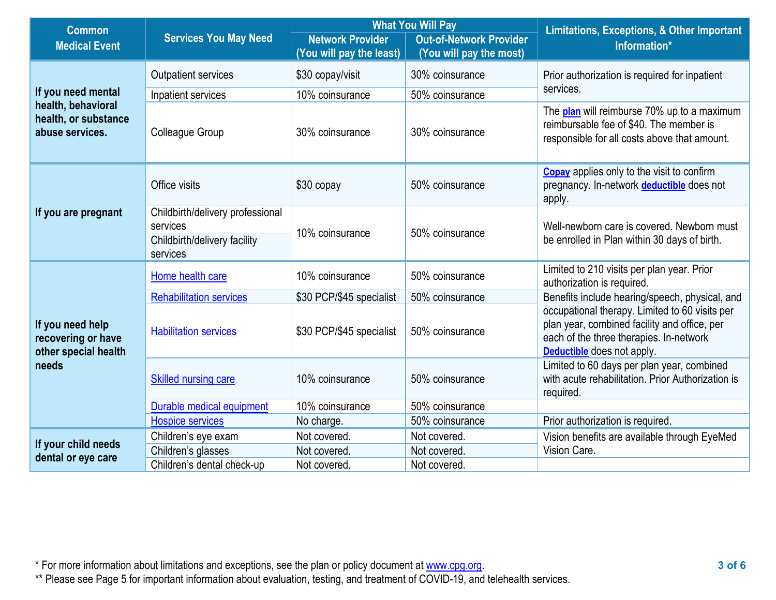| <b>Common</b>                                                           |                                                                                          |                          | <b>Out-of-Network Provider</b><br>(You will pay the most)                                                                                                                                                                                                                                                           | Limitations, Exceptions, & Other Important                                                                                                    |  |
|-------------------------------------------------------------------------|------------------------------------------------------------------------------------------|--------------------------|---------------------------------------------------------------------------------------------------------------------------------------------------------------------------------------------------------------------------------------------------------------------------------------------------------------------|-----------------------------------------------------------------------------------------------------------------------------------------------|--|
| <b>Medical Event</b>                                                    | <b>Services You May Need</b>                                                             | <b>Network Provider</b>  |                                                                                                                                                                                                                                                                                                                     | Information*                                                                                                                                  |  |
|                                                                         |                                                                                          |                          |                                                                                                                                                                                                                                                                                                                     |                                                                                                                                               |  |
|                                                                         | <b>Outpatient services</b>                                                               | \$30 copay/visit         | 30% coinsurance                                                                                                                                                                                                                                                                                                     | Prior authorization is required for inpatient                                                                                                 |  |
| If you need mental                                                      | Inpatient services                                                                       | 10% coinsurance          | 50% coinsurance                                                                                                                                                                                                                                                                                                     |                                                                                                                                               |  |
| health, behavioral<br>health, or substance<br>abuse services.           | Colleague Group                                                                          | 30% coinsurance          | <b>What You Will Pay</b><br>(You will pay the least)<br>services.<br>30% coinsurance<br>50% coinsurance<br>apply.<br>50% coinsurance<br>50% coinsurance<br>50% coinsurance<br>50% coinsurance<br>50% coinsurance<br>required.<br>50% coinsurance<br>50% coinsurance<br>Not covered.<br>Vision Care.<br>Not covered. | The <b>plan</b> will reimburse 70% up to a maximum<br>reimbursable fee of \$40. The member is<br>responsible for all costs above that amount. |  |
|                                                                         | Office visits                                                                            | \$30 copay               |                                                                                                                                                                                                                                                                                                                     | <b>Copay</b> applies only to the visit to confirm<br>pregnancy. In-network deductible does not                                                |  |
| If you are pregnant                                                     | Childbirth/delivery professional<br>services<br>Childbirth/delivery facility<br>services | 10% coinsurance          | authorization is required.<br><b>Deductible</b> does not apply.<br>Prior authorization is required.<br>Not covered.                                                                                                                                                                                                 | Well-newborn care is covered. Newborn must<br>be enrolled in Plan within 30 days of birth.                                                    |  |
| If you need help<br>recovering or have<br>other special health<br>needs | Home health care                                                                         | 10% coinsurance          |                                                                                                                                                                                                                                                                                                                     | Limited to 210 visits per plan year. Prior                                                                                                    |  |
|                                                                         | <b>Rehabilitation services</b>                                                           | \$30 PCP/\$45 specialist |                                                                                                                                                                                                                                                                                                                     | Benefits include hearing/speech, physical, and                                                                                                |  |
|                                                                         | <b>Habilitation services</b>                                                             | \$30 PCP/\$45 specialist |                                                                                                                                                                                                                                                                                                                     | occupational therapy. Limited to 60 visits per<br>plan year, combined facility and office, per<br>each of the three therapies. In-network     |  |
|                                                                         | <b>Skilled nursing care</b>                                                              | 10% coinsurance          |                                                                                                                                                                                                                                                                                                                     | Limited to 60 days per plan year, combined<br>with acute rehabilitation. Prior Authorization is                                               |  |
|                                                                         | Durable medical equipment                                                                | 10% coinsurance          |                                                                                                                                                                                                                                                                                                                     |                                                                                                                                               |  |
|                                                                         | <b>Hospice services</b>                                                                  | No charge.               |                                                                                                                                                                                                                                                                                                                     |                                                                                                                                               |  |
|                                                                         | Children's eye exam                                                                      | Not covered.             |                                                                                                                                                                                                                                                                                                                     | Vision benefits are available through EyeMed                                                                                                  |  |
| If your child needs<br>dental or eye care                               | Children's glasses                                                                       | Not covered.             |                                                                                                                                                                                                                                                                                                                     |                                                                                                                                               |  |
|                                                                         | Children's dental check-up                                                               | Not covered.             |                                                                                                                                                                                                                                                                                                                     |                                                                                                                                               |  |

\* For more information about limitations and exceptions, see the plan or policy document at [www.cpg.org.](http://www.cpg.org/) **3 of 6**

\*\* Please see Page 5 for important information about evaluation, testing, and treatment of COVID-19, and telehealth services.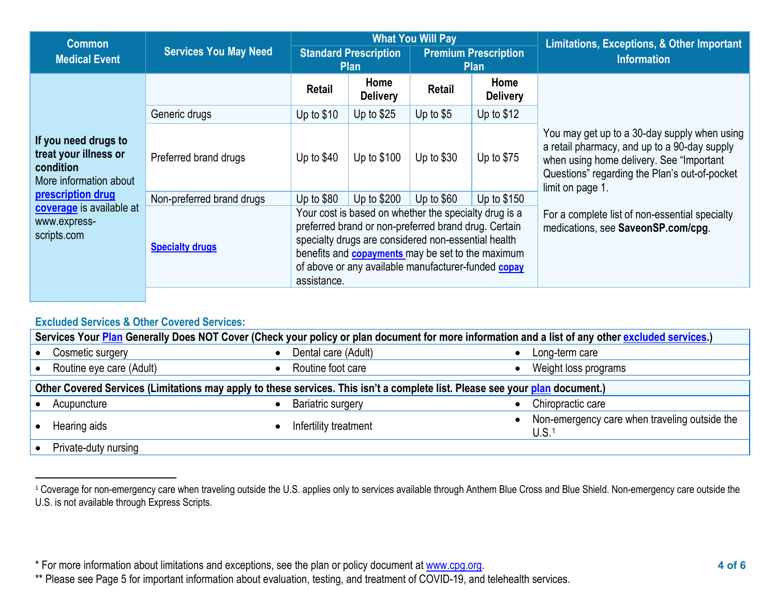<span id="page-3-0"></span>

| <b>Common</b>                                                                                                                                                        |                              | <b>What You Will Pay</b>                                                                                                                                                                                                                                                                               |                         |                                            |                                                                                      | Limitations, Exceptions, & Other Important                                                                                                                                                                     |
|----------------------------------------------------------------------------------------------------------------------------------------------------------------------|------------------------------|--------------------------------------------------------------------------------------------------------------------------------------------------------------------------------------------------------------------------------------------------------------------------------------------------------|-------------------------|--------------------------------------------|--------------------------------------------------------------------------------------|----------------------------------------------------------------------------------------------------------------------------------------------------------------------------------------------------------------|
| <b>Medical Event</b>                                                                                                                                                 | <b>Services You May Need</b> | <b>Standard Prescription</b><br><b>Plan</b>                                                                                                                                                                                                                                                            |                         | <b>Premium Prescription</b><br><b>Plan</b> |                                                                                      | <b>Information</b>                                                                                                                                                                                             |
| If you need drugs to<br>treat your illness or<br>condition<br>More information about<br>prescription drug<br>coverage is available at<br>www.express-<br>scripts.com |                              | <b>Retail</b>                                                                                                                                                                                                                                                                                          | Home<br><b>Delivery</b> | Retail                                     | Home<br><b>Delivery</b>                                                              | You may get up to a 30-day supply when using<br>a retail pharmacy, and up to a 90-day supply<br>when using home delivery. See "Important"<br>Questions" regarding the Plan's out-of-pocket<br>limit on page 1. |
|                                                                                                                                                                      | Generic drugs                | Up to $$10$                                                                                                                                                                                                                                                                                            | Up to $$25$             | Up to $$5$                                 | Up to $$12$                                                                          |                                                                                                                                                                                                                |
|                                                                                                                                                                      | Preferred brand drugs        | Up to $$40$                                                                                                                                                                                                                                                                                            | Up to \$100             | Up to $$30$                                | Up to $$75$                                                                          |                                                                                                                                                                                                                |
|                                                                                                                                                                      | Non-preferred brand drugs    | Up to $$80$                                                                                                                                                                                                                                                                                            | Up to \$200             | Up to $$60$                                | Up to \$150                                                                          |                                                                                                                                                                                                                |
|                                                                                                                                                                      | <b>Specialty drugs</b>       | Your cost is based on whether the specialty drug is a<br>preferred brand or non-preferred brand drug. Certain<br>specialty drugs are considered non-essential health<br>benefits and <b>copayments</b> may be set to the maximum<br>of above or any available manufacturer-funded copay<br>assistance. |                         |                                            | For a complete list of non-essential specialty<br>medications, see SaveonSP.com/cpg. |                                                                                                                                                                                                                |

## **Excluded Services & Other Covered Services:**

| Services Your Plan Generally Does NOT Cover (Check your policy or plan document for more information and a list of any other excluded services.) |                          |                                                                    |  |  |  |
|--------------------------------------------------------------------------------------------------------------------------------------------------|--------------------------|--------------------------------------------------------------------|--|--|--|
| Cosmetic surgery                                                                                                                                 | Dental care (Adult)      | Long-term care                                                     |  |  |  |
| Routine eye care (Adult)                                                                                                                         | Routine foot care        | Weight loss programs                                               |  |  |  |
| Other Covered Services (Limitations may apply to these services. This isn't a complete list. Please see your plan document.)                     |                          |                                                                    |  |  |  |
| Acupuncture                                                                                                                                      | <b>Bariatric surgery</b> | Chiropractic care                                                  |  |  |  |
| Hearing aids                                                                                                                                     | Infertility treatment    | Non-emergency care when traveling outside the<br>U.S. <sup>1</sup> |  |  |  |
| Private-duty nursing                                                                                                                             |                          |                                                                    |  |  |  |

<sup>&</sup>lt;sup>1</sup> Coverage for non-emergency care when traveling outside the U.S. applies only to services available through Anthem Blue Cross and Blue Shield. Non-emergency care outside the U.S. is not available through Express Scripts.

<sup>\*</sup> For more information about limitations and exceptions, see the plan or policy document at [www.cpg.org.](http://www.cpg.org/) **4 of 6**

<sup>\*\*</sup> Please see Page 5 for important information about evaluation, testing, and treatment of COVID-19, and telehealth services.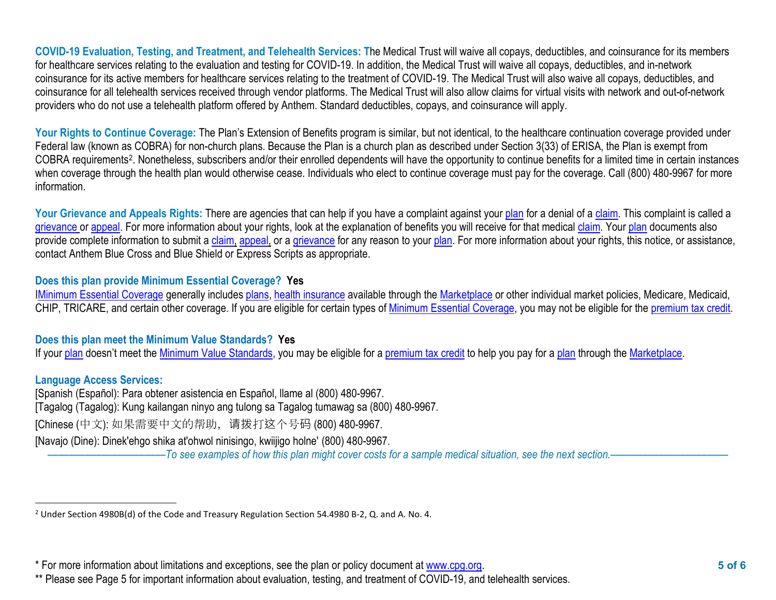<span id="page-4-0"></span>**COVID-19 Evaluation, Testing, and Treatment, and Telehealth Services: T**he Medical Trust will waive all copays, deductibles, and coinsurance for its members for healthcare services relating to the evaluation and testing for COVID-19. In addition, the Medical Trust will waive all copays, deductibles, and in-network coinsurance for its active members for healthcare services relating to the treatment of COVID-19. The Medical Trust will also waive all copays, deductibles, and coinsurance for all telehealth services received through vendor platforms. The Medical Trust will also allow claims for virtual visits with network and out-of-network providers who do not use a telehealth platform offered by Anthem. Standard deductibles, copays, and coinsurance will apply.

Your Rights to Continue Coverage: The Plan's Extension of Benefits program is similar, but not identical, to the healthcare continuation coverage provided under Federal law (known as COBRA) for non-church plans. Because the Plan is a church plan as described under Section 3(33) of ERISA, the Plan is exempt from COBRA requirements[2](#page-4-0). Nonetheless, subscribers and/or their enrolled dependents will have the opportunity to continue benefits for a limited time in certain instances when coverage through the health plan would otherwise cease. Individuals who elect to continue coverage must pay for the coverage. Call (800) 480-9967 for more information.

Your Grievance and Appeals Rights: There are agencies that can help if you have a complaint against you[r plan](https://www.healthcare.gov/sbc-glossary/#plan) for a denial of a [claim.](https://www.healthcare.gov/sbc-glossary/#claim) This complaint is called a [grievance](https://www.healthcare.gov/sbc-glossary/#grievance) or [appeal.](https://www.healthcare.gov/sbc-glossary/#appeal) For more information about your rights, look at the explanation of benefits you will receive for that medica[l claim.](https://www.healthcare.gov/sbc-glossary/#claim) Your [plan](https://www.healthcare.gov/sbc-glossary/#plan) documents also provide complete information to submit a [claim,](https://www.healthcare.gov/sbc-glossary/#claim) [appeal,](https://www.healthcare.gov/sbc-glossary/#appeal) or a [grievance](https://www.healthcare.gov/sbc-glossary/#grievance) for any reason to your [plan.](https://www.healthcare.gov/sbc-glossary/#plan) For more information about your rights, this notice, or assistance, contact Anthem Blue Cross and Blue Shield or Express Scripts as appropriate.

## **Does this plan provide Minimum Essential Coverage? Yes**

[IMinimum Essential Coverage](https://www.healthcare.gov/sbc-glossary/#minimum-essential-coverage) generally includes [plans,](https://www.healthcare.gov/sbc-glossary/#plan) [health insurance](https://www.healthcare.gov/sbc-glossary/#health-insurance) available through the [Marketplace](https://www.healthcare.gov/sbc-glossary/#marketplace) or other individual market policies, Medicare, Medicaid, CHIP, TRICARE, and certain other coverage. If you are eligible for certain types of [Minimum Essential Coverage,](https://www.healthcare.gov/sbc-glossary/#minimum-essential-coverage) you may not be eligible for the [premium tax credit.](https://www.healthcare.gov/sbc-glossary/#premium-tax-credits)

#### **Does this plan meet the Minimum Value Standards? Yes**

If your [plan](https://www.healthcare.gov/sbc-glossary/#plan) doesn't meet the [Minimum Value Standards,](https://www.healthcare.gov/sbc-glossary/#minimum-value-standard) you may be eligible for a [premium tax credit](https://www.healthcare.gov/sbc-glossary/#premium-tax-credits) to help you pay for a plan through the [Marketplace.](https://www.healthcare.gov/sbc-glossary/#marketplace)

#### **Language Access Services:**

[Spanish (Español): Para obtener asistencia en Español, llame al (800) 480-9967. [Tagalog (Tagalog): Kung kailangan ninyo ang tulong sa Tagalog tumawag sa (800) 480-9967. [Chinese (中文): 如果需要中文的帮助,请拨打这个号码 (800) 480-9967. [Navajo (Dine): Dinek'ehgo shika at'ohwol ninisingo, kwiijigo holne' (800) 480-9967.

––––––––––––––––––––––*To see examples of how this plan might cover costs for a sample medical situation, see the next section.–––––––––––*–––––––––––

<sup>2</sup> Under Section 4980B(d) of the Code and Treasury Regulation Section 54.4980 B-2, Q. and A. No. 4.

<sup>\*</sup> For more information about limitations and exceptions, see the plan or policy document at [www.cpg.org.](http://www.cpg.org/) **5 of 6**

<sup>\*\*</sup> Please see Page 5 for important information about evaluation, testing, and treatment of COVID-19, and telehealth services.